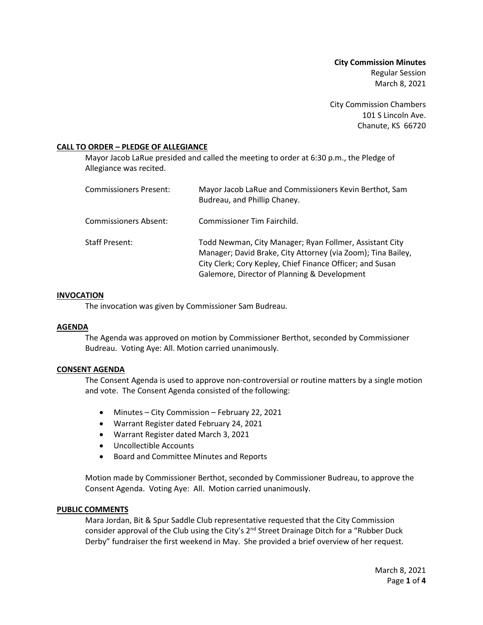**City Commission Minutes** Regular Session March 8, 2021

City Commission Chambers 101 S Lincoln Ave. Chanute, KS 66720

## **CALL TO ORDER – PLEDGE OF ALLEGIANCE**

Mayor Jacob LaRue presided and called the meeting to order at 6:30 p.m., the Pledge of Allegiance was recited.

| Commissioners Present: | Mayor Jacob LaRue and Commissioners Kevin Berthot, Sam<br>Budreau, and Phillip Chaney.                                                                                                                                               |
|------------------------|--------------------------------------------------------------------------------------------------------------------------------------------------------------------------------------------------------------------------------------|
| Commissioners Absent:  | Commissioner Tim Fairchild.                                                                                                                                                                                                          |
| Staff Present:         | Todd Newman, City Manager; Ryan Follmer, Assistant City<br>Manager; David Brake, City Attorney (via Zoom); Tina Bailey,<br>City Clerk; Cory Kepley, Chief Finance Officer; and Susan<br>Galemore, Director of Planning & Development |

#### **INVOCATION**

The invocation was given by Commissioner Sam Budreau.

#### **AGENDA**

The Agenda was approved on motion by Commissioner Berthot, seconded by Commissioner Budreau. Voting Aye: All. Motion carried unanimously.

# **CONSENT AGENDA**

The Consent Agenda is used to approve non-controversial or routine matters by a single motion and vote. The Consent Agenda consisted of the following:

- Minutes City Commission February 22, 2021
- Warrant Register dated February 24, 2021
- Warrant Register dated March 3, 2021
- Uncollectible Accounts
- Board and Committee Minutes and Reports

Motion made by Commissioner Berthot, seconded by Commissioner Budreau, to approve the Consent Agenda. Voting Aye: All. Motion carried unanimously.

# **PUBLIC COMMENTS**

Mara Jordan, Bit & Spur Saddle Club representative requested that the City Commission consider approval of the Club using the City's 2<sup>nd</sup> Street Drainage Ditch for a "Rubber Duck Derby" fundraiser the first weekend in May. She provided a brief overview of her request.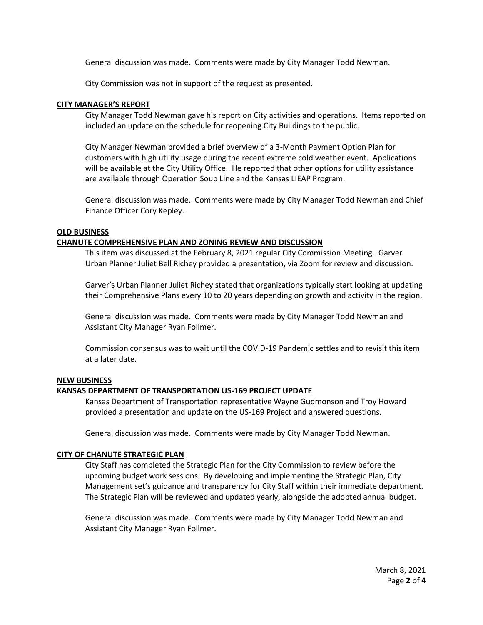General discussion was made. Comments were made by City Manager Todd Newman.

City Commission was not in support of the request as presented.

## **CITY MANAGER'S REPORT**

City Manager Todd Newman gave his report on City activities and operations. Items reported on included an update on the schedule for reopening City Buildings to the public.

City Manager Newman provided a brief overview of a 3-Month Payment Option Plan for customers with high utility usage during the recent extreme cold weather event. Applications will be available at the City Utility Office. He reported that other options for utility assistance are available through Operation Soup Line and the Kansas LIEAP Program.

General discussion was made. Comments were made by City Manager Todd Newman and Chief Finance Officer Cory Kepley.

## **OLD BUSINESS**

## **CHANUTE COMPREHENSIVE PLAN AND ZONING REVIEW AND DISCUSSION**

This item was discussed at the February 8, 2021 regular City Commission Meeting. Garver Urban Planner Juliet Bell Richey provided a presentation, via Zoom for review and discussion.

Garver's Urban Planner Juliet Richey stated that organizations typically start looking at updating their Comprehensive Plans every 10 to 20 years depending on growth and activity in the region.

General discussion was made. Comments were made by City Manager Todd Newman and Assistant City Manager Ryan Follmer.

Commission consensus was to wait until the COVID-19 Pandemic settles and to revisit this item at a later date.

#### **NEW BUSINESS**

# **KANSAS DEPARTMENT OF TRANSPORTATION US-169 PROJECT UPDATE**

Kansas Department of Transportation representative Wayne Gudmonson and Troy Howard provided a presentation and update on the US-169 Project and answered questions.

General discussion was made. Comments were made by City Manager Todd Newman.

#### **CITY OF CHANUTE STRATEGIC PLAN**

City Staff has completed the Strategic Plan for the City Commission to review before the upcoming budget work sessions. By developing and implementing the Strategic Plan, City Management set's guidance and transparency for City Staff within their immediate department. The Strategic Plan will be reviewed and updated yearly, alongside the adopted annual budget.

General discussion was made. Comments were made by City Manager Todd Newman and Assistant City Manager Ryan Follmer.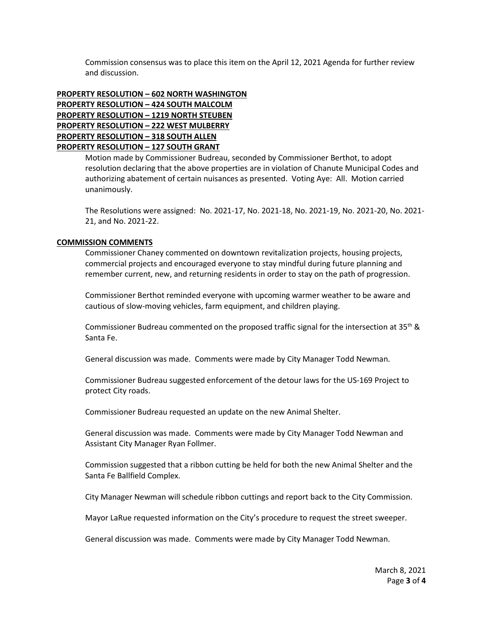Commission consensus was to place this item on the April 12, 2021 Agenda for further review and discussion.

# **PROPERTY RESOLUTION – 602 NORTH WASHINGTON PROPERTY RESOLUTION – 424 SOUTH MALCOLM PROPERTY RESOLUTION – 1219 NORTH STEUBEN PROPERTY RESOLUTION – 222 WEST MULBERRY PROPERTY RESOLUTION – 318 SOUTH ALLEN PROPERTY RESOLUTION – 127 SOUTH GRANT**

Motion made by Commissioner Budreau, seconded by Commissioner Berthot, to adopt resolution declaring that the above properties are in violation of Chanute Municipal Codes and authorizing abatement of certain nuisances as presented. Voting Aye: All. Motion carried unanimously.

The Resolutions were assigned: No. 2021-17, No. 2021-18, No. 2021-19, No. 2021-20, No. 2021- 21, and No. 2021-22.

## **COMMISSION COMMENTS**

Commissioner Chaney commented on downtown revitalization projects, housing projects, commercial projects and encouraged everyone to stay mindful during future planning and remember current, new, and returning residents in order to stay on the path of progression.

Commissioner Berthot reminded everyone with upcoming warmer weather to be aware and cautious of slow-moving vehicles, farm equipment, and children playing.

Commissioner Budreau commented on the proposed traffic signal for the intersection at 35<sup>th</sup> & Santa Fe.

General discussion was made. Comments were made by City Manager Todd Newman.

Commissioner Budreau suggested enforcement of the detour laws for the US-169 Project to protect City roads.

Commissioner Budreau requested an update on the new Animal Shelter.

General discussion was made. Comments were made by City Manager Todd Newman and Assistant City Manager Ryan Follmer.

Commission suggested that a ribbon cutting be held for both the new Animal Shelter and the Santa Fe Ballfield Complex.

City Manager Newman will schedule ribbon cuttings and report back to the City Commission.

Mayor LaRue requested information on the City's procedure to request the street sweeper.

General discussion was made. Comments were made by City Manager Todd Newman.